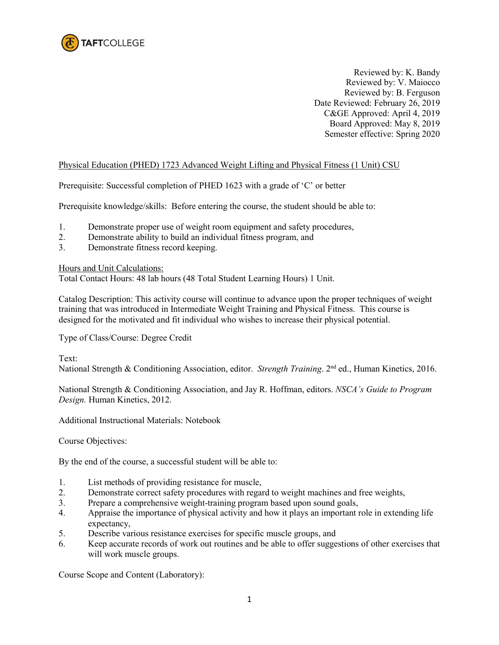

Reviewed by: K. Bandy Reviewed by: V. Maiocco Reviewed by: B. Ferguson Date Reviewed: February 26, 2019 C&GE Approved: April 4, 2019 Board Approved: May 8, 2019 Semester effective: Spring 2020

## Physical Education (PHED) 1723 Advanced Weight Lifting and Physical Fitness (1 Unit) CSU

Prerequisite: Successful completion of PHED 1623 with a grade of 'C' or better

Prerequisite knowledge/skills: Before entering the course, the student should be able to:

- 1. Demonstrate proper use of weight room equipment and safety procedures,
- 2. Demonstrate ability to build an individual fitness program, and
- 3. Demonstrate fitness record keeping.

Hours and Unit Calculations:

Total Contact Hours: 48 lab hours (48 Total Student Learning Hours) 1 Unit.

Catalog Description: This activity course will continue to advance upon the proper techniques of weight training that was introduced in Intermediate Weight Training and Physical Fitness. This course is designed for the motivated and fit individual who wishes to increase their physical potential.

Type of Class/Course: Degree Credit

Text:

National Strength & Conditioning Association, editor. *Strength Training*. 2nd ed., Human Kinetics, 2016.

National Strength & Conditioning Association, and Jay R. Hoffman, editors. *NSCA's Guide to Program Design.* Human Kinetics, 2012.

Additional Instructional Materials: Notebook

Course Objectives:

By the end of the course, a successful student will be able to:

- 1. List methods of providing resistance for muscle,
- 2. Demonstrate correct safety procedures with regard to weight machines and free weights,
- 3. Prepare a comprehensive weight-training program based upon sound goals,
- 4. Appraise the importance of physical activity and how it plays an important role in extending life expectancy,
- 5. Describe various resistance exercises for specific muscle groups, and
- 6. Keep accurate records of work out routines and be able to offer suggestions of other exercises that will work muscle groups.

Course Scope and Content (Laboratory):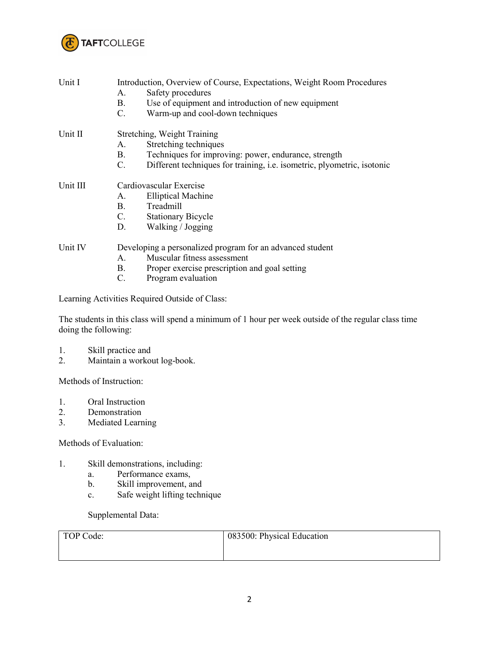

| Unit I   | Introduction, Overview of Course, Expectations, Weight Room Procedures<br>Safety procedures<br>А.<br>Use of equipment and introduction of new equipment<br>B.<br>Warm-up and cool-down techniques<br>$C$ . |  |  |
|----------|------------------------------------------------------------------------------------------------------------------------------------------------------------------------------------------------------------|--|--|
| Unit II  | Stretching, Weight Training<br>Stretching techniques<br>А.                                                                                                                                                 |  |  |
|          | Techniques for improving: power, endurance, strength<br>B.                                                                                                                                                 |  |  |
|          | Different techniques for training, <i>i.e.</i> isometric, plyometric, isotonic<br>$C$ .                                                                                                                    |  |  |
| Unit III | Cardiovascular Exercise                                                                                                                                                                                    |  |  |
|          | <b>Elliptical Machine</b><br>А.                                                                                                                                                                            |  |  |
|          | Treadmill<br>B.                                                                                                                                                                                            |  |  |
|          | $C_{\cdot}$<br><b>Stationary Bicycle</b>                                                                                                                                                                   |  |  |
|          | Walking / Jogging<br>D.                                                                                                                                                                                    |  |  |
| Unit IV  | Developing a personalized program for an advanced student<br>Muscular fitness assessment<br>$A_{\cdot}$                                                                                                    |  |  |

- B. Proper exercise prescription and goal setting<br>C. Program evaluation
- Program evaluation

Learning Activities Required Outside of Class:

The students in this class will spend a minimum of 1 hour per week outside of the regular class time doing the following:

- 1. Skill practice and<br>2. Maintain a workow
- Maintain a workout log-book.

Methods of Instruction:

- 1. Oral Instruction<br>2. Demonstration
- **Demonstration**
- 3. Mediated Learning

Methods of Evaluation:

- 1. Skill demonstrations, including:
	- a. Performance exams,
	- b. Skill improvement, and
	- c. Safe weight lifting technique

Supplemental Data:

| TOP Code: | 083500: Physical Education |
|-----------|----------------------------|
|           |                            |
|           |                            |